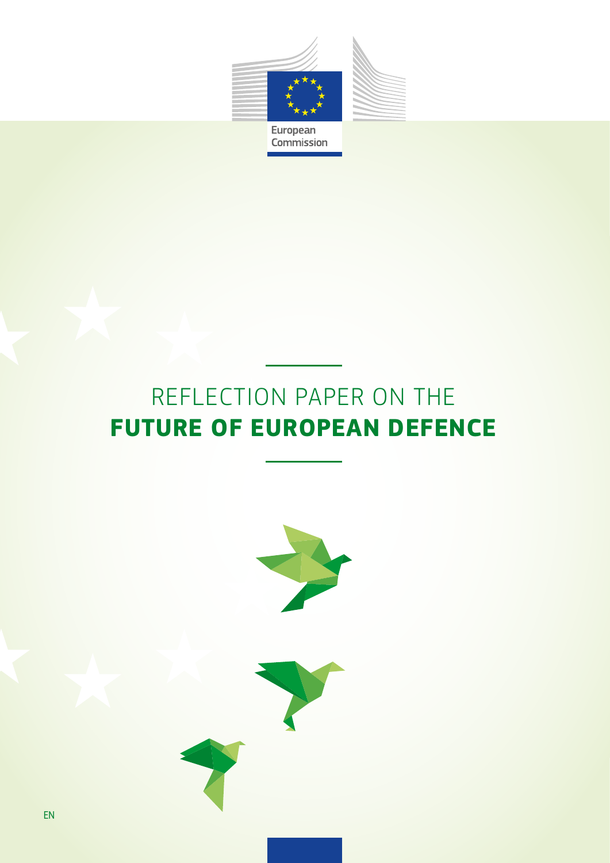

# REFLECTION PAPER ON THE **FUTURE OF EUROPEAN DEFENCE**

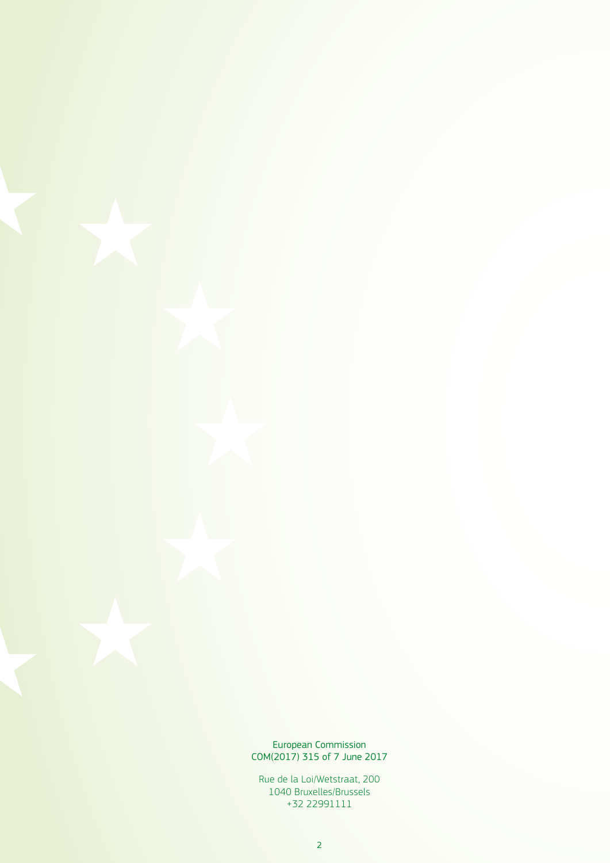European Commission COM(2017) 315 of 7 June 2017

Rue de la Loi/Wetstraat, 200 1040 Bruxelles/Brussels +32 22991111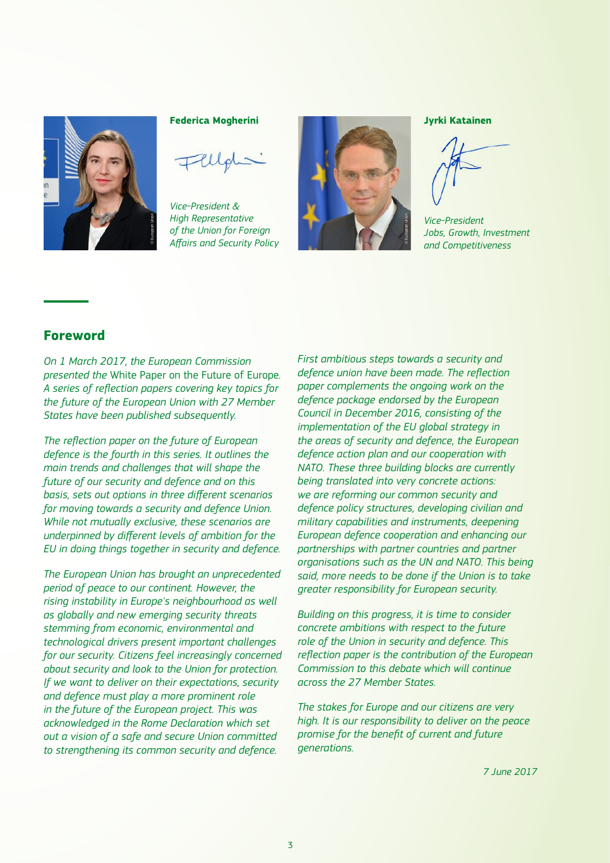

#### **Federica Mogherini**

*Vice-President & High Representative of the Union for Foreign Affairs and Security Policy*



#### **Jyrki Katainen**

*Vice-President Jobs, Growth, Investment and Competitiveness*

## **Foreword**

*On 1 March 2017, the European Commission presented the* White Paper on the Future of Europe*. A series of reflection papers covering key topics for the future of the European Union with 27 Member States have been published subsequently.*

*The reflection paper on the future of European defence is the fourth in this series. It outlines the main trends and challenges that will shape the future of our security and defence and on this basis, sets out options in three different scenarios for moving towards a security and defence Union. While not mutually exclusive, these scenarios are underpinned by different levels of ambition for the EU in doing things together in security and defence.*

*The European Union has brought an unprecedented period of peace to our continent. However, the rising instability in Europe's neighbourhood as well as globally and new emerging security threats stemming from economic, environmental and technological drivers present important challenges for our security. Citizens feel increasingly concerned about security and look to the Union for protection. If we want to deliver on their expectations, security and defence must play a more prominent role in the future of the European project. This was acknowledged in the Rome Declaration which set out a vision of a safe and secure Union committed to strengthening its common security and defence.*

*First ambitious steps towards a security and defence union have been made. The reflection paper complements the ongoing work on the defence package endorsed by the European Council in December 2016, consisting of the implementation of the EU global strategy in the areas of security and defence, the European defence action plan and our cooperation with NATO. These three building blocks are currently being translated into very concrete actions: we are reforming our common security and defence policy structures, developing civilian and military capabilities and instruments, deepening European defence cooperation and enhancing our partnerships with partner countries and partner organisations such as the UN and NATO. This being said, more needs to be done if the Union is to take greater responsibility for European security.*

*Building on this progress, it is time to consider concrete ambitions with respect to the future role of the Union in security and defence. This reflection paper is the contribution of the European Commission to this debate which will continue across the 27 Member States.*

*The stakes for Europe and our citizens are very high. It is our responsibility to deliver on the peace promise for the benefit of current and future generations.*

*7 June 2017*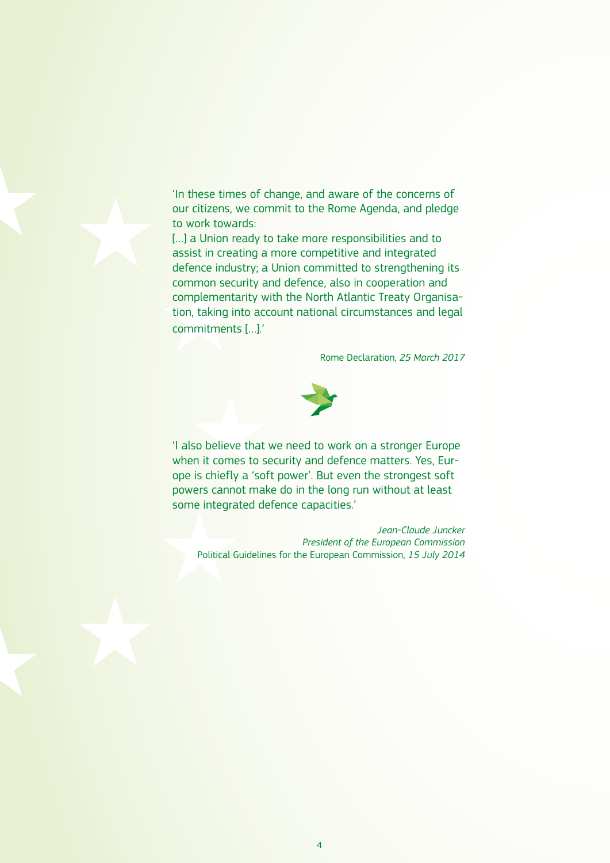'In these times of change, and aware of the concerns of our citizens, we commit to the Rome Agenda, and pledge to work towards:

[...] a Union ready to take more responsibilities and to assist in creating a more competitive and integrated defence industry; a Union committed to strengthening its common security and defence, also in cooperation and complementarity with the North Atlantic Treaty Organisation, taking into account national circumstances and legal commitments […].'

Rome Declaration, *25 March 2017*



'I also believe that we need to work on a stronger Europe when it comes to security and defence matters. Yes, Europe is chiefly a 'soft power'. But even the strongest soft powers cannot make do in the long run without at least some integrated defence capacities.'

*Jean-Claude Juncker President of the European Commission* Political Guidelines for the European Commission, *15 July 2014*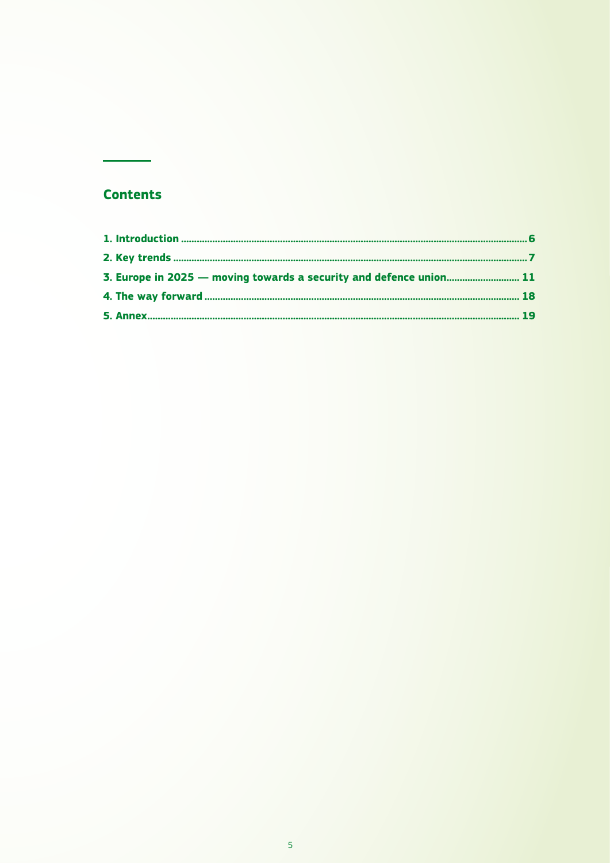# **Contents**

| 3. Europe in 2025 – moving towards a security and defence union 11 |  |
|--------------------------------------------------------------------|--|
|                                                                    |  |
|                                                                    |  |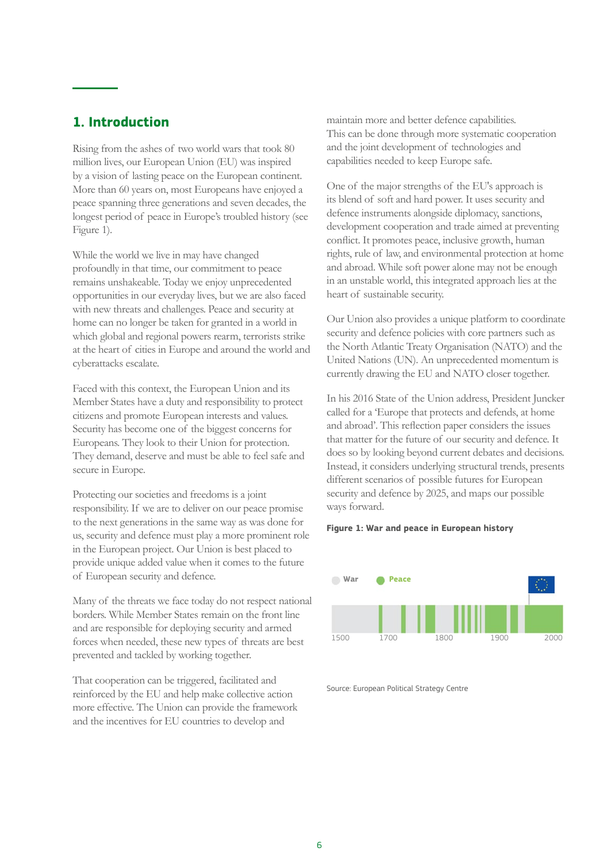# <span id="page-5-0"></span>**1. Introduction**

Rising from the ashes of two world wars that took 80 million lives, our European Union (EU) was inspired by a vision of lasting peace on the European continent. More than 60 years on, most Europeans have enjoyed a peace spanning three generations and seven decades, the longest period of peace in Europe's troubled history (see Figure 1).

While the world we live in may have changed profoundly in that time, our commitment to peace remains unshakeable. Today we enjoy unprecedented opportunities in our everyday lives, but we are also faced with new threats and challenges. Peace and security at home can no longer be taken for granted in a world in which global and regional powers rearm, terrorists strike at the heart of cities in Europe and around the world and cyberattacks escalate.

Faced with this context, the European Union and its Member States have a duty and responsibility to protect citizens and promote European interests and values. Security has become one of the biggest concerns for Europeans. They look to their Union for protection. They demand, deserve and must be able to feel safe and secure in Europe.

Protecting our societies and freedoms is a joint responsibility. If we are to deliver on our peace promise to the next generations in the same way as was done for us, security and defence must play a more prominent role in the European project. Our Union is best placed to provide unique added value when it comes to the future of European security and defence.

Many of the threats we face today do not respect national borders. While Member States remain on the front line and are responsible for deploying security and armed forces when needed, these new types of threats are best prevented and tackled by working together.

That cooperation can be triggered, facilitated and reinforced by the EU and help make collective action more effective. The Union can provide the framework and the incentives for EU countries to develop and

maintain more and better defence capabilities. This can be done through more systematic cooperation and the joint development of technologies and capabilities needed to keep Europe safe.

One of the major strengths of the EU's approach is its blend of soft and hard power. It uses security and defence instruments alongside diplomacy, sanctions, development cooperation and trade aimed at preventing conflict. It promotes peace, inclusive growth, human rights, rule of law, and environmental protection at home and abroad. While soft power alone may not be enough in an unstable world, this integrated approach lies at the heart of sustainable security.

Our Union also provides a unique platform to coordinate security and defence policies with core partners such as the North Atlantic Treaty Organisation (NATO) and the United Nations (UN). An unprecedented momentum is currently drawing the EU and NATO closer together.

In his 2016 State of the Union address, President Juncker called for a 'Europe that protects and defends, at home and abroad'. This reflection paper considers the issues that matter for the future of our security and defence. It does so by looking beyond current debates and decisions. Instead, it considers underlying structural trends, presents different scenarios of possible futures for European security and defence by 2025, and maps our possible ways forward.

#### **Figure 1: War and peace in European history**



Source: European Political Strategy Centre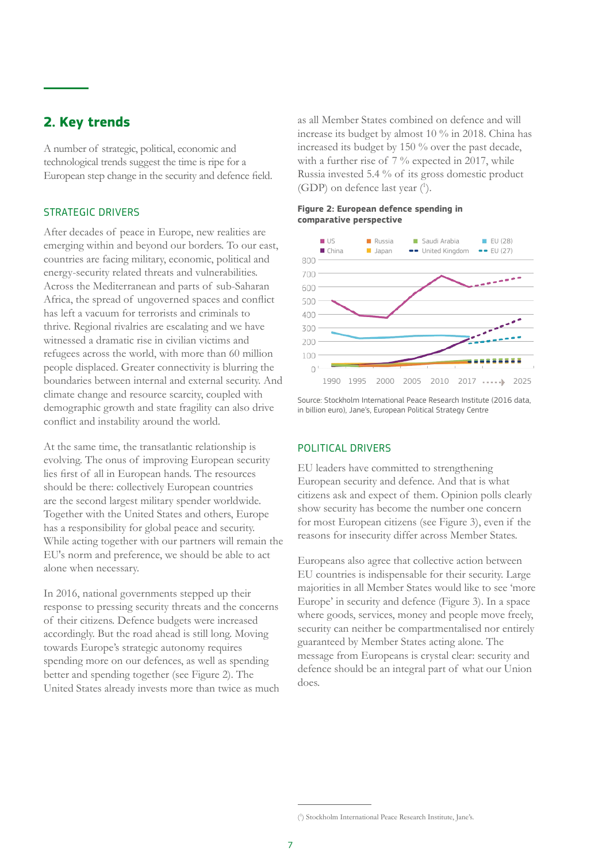# <span id="page-6-0"></span>**2. Key trends**

A number of strategic, political, economic and technological trends suggest the time is ripe for a European step change in the security and defence field.

## STRATEGIC DRIVERS

After decades of peace in Europe, new realities are emerging within and beyond our borders. To our east, countries are facing military, economic, political and energy-security related threats and vulnerabilities. Across the Mediterranean and parts of sub-Saharan Africa, the spread of ungoverned spaces and conflict has left a vacuum for terrorists and criminals to thrive. Regional rivalries are escalating and we have witnessed a dramatic rise in civilian victims and refugees across the world, with more than 60 million people displaced. Greater connectivity is blurring the boundaries between internal and external security. And climate change and resource scarcity, coupled with demographic growth and state fragility can also drive conflict and instability around the world.

At the same time, the transatlantic relationship is evolving. The onus of improving European security lies first of all in European hands. The resources should be there: collectively European countries are the second largest military spender worldwide. Together with the United States and others, Europe has a responsibility for global peace and security. While acting together with our partners will remain the EU's norm and preference, we should be able to act alone when necessary.

In 2016, national governments stepped up their response to pressing security threats and the concerns of their citizens. Defence budgets were increased accordingly. But the road ahead is still long. Moving towards Europe's strategic autonomy requires spending more on our defences, as well as spending better and spending together (see Figure 2). The United States already invests more than twice as much as all Member States combined on defence and will increase its budget by almost 10 % in 2018. China has increased its budget by 150 % over the past decade, with a further rise of 7 % expected in 2017, while Russia invested 5.4 % of its gross domestic product (GDP) on defence last year ( 1 ).

#### **Figure 2: European defence spending in comparative perspective**



Source: Stockholm International Peace Research Institute (2016 data, in billion euro), Jane's, European Political Strategy Centre

#### POLITICAL DRIVERS

EU leaders have committed to strengthening European security and defence. And that is what citizens ask and expect of them. Opinion polls clearly show security has become the number one concern for most European citizens (see Figure 3), even if the reasons for insecurity differ across Member States.

Europeans also agree that collective action between EU countries is indispensable for their security. Large majorities in all Member States would like to see 'more Europe' in security and defence (Figure 3). In a space where goods, services, money and people move freely, security can neither be compartmentalised nor entirely guaranteed by Member States acting alone. The message from Europeans is crystal clear: security and defence should be an integral part of what our Union does.

<sup>(</sup> 1 ) Stockholm International Peace Research Institute, Jane's.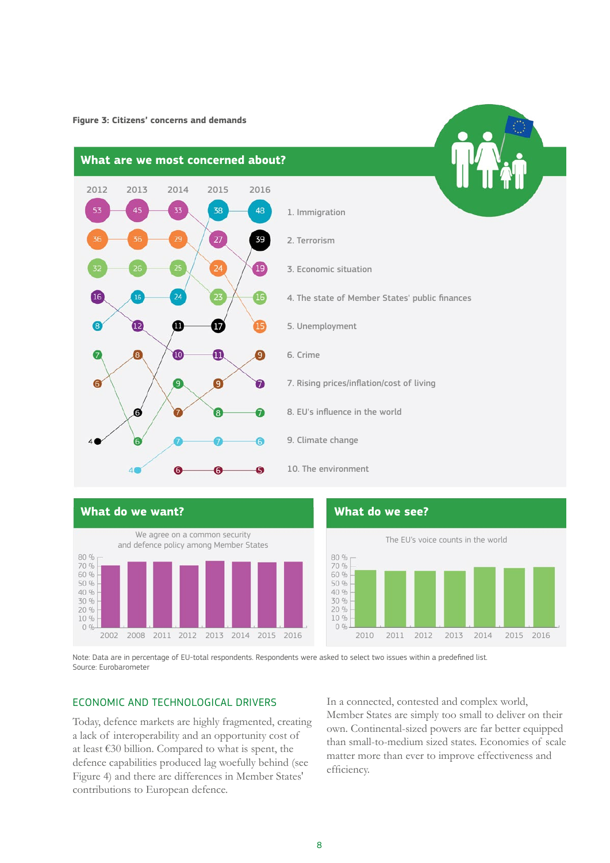**Figure 3: Citizens' concerns and demands**





5. Unemployment

- 7. Rising prices/inflation/cost of living
- 8. EU's influence in the world
- 9. Climate change
- 10. The environment



80 % 70 % 60 % 50 % 40 % 30 % 20 % 10 %  $0%$ 2002 2008 2011 2012 2013 2014 2015 2016 2010 2011 2012 2013 2014 2015 2016

Note: Data are in percentage of EU-total respondents. Respondents were asked to select two issues within a predefined list. Source: Eurobarometer

## ECONOMIC AND TECHNOLOGICAL DRIVERS

Today, defence markets are highly fragmented, creating a lack of interoperability and an opportunity cost of at least €30 billion. Compared to what is spent, the defence capabilities produced lag woefully behind (see Figure 4) and there are differences in Member States' contributions to European defence.

In a connected, contested and complex world, Member States are simply too small to deliver on their own. Continental-sized powers are far better equipped than small-to-medium sized states. Economies of scale matter more than ever to improve effectiveness and efficiency.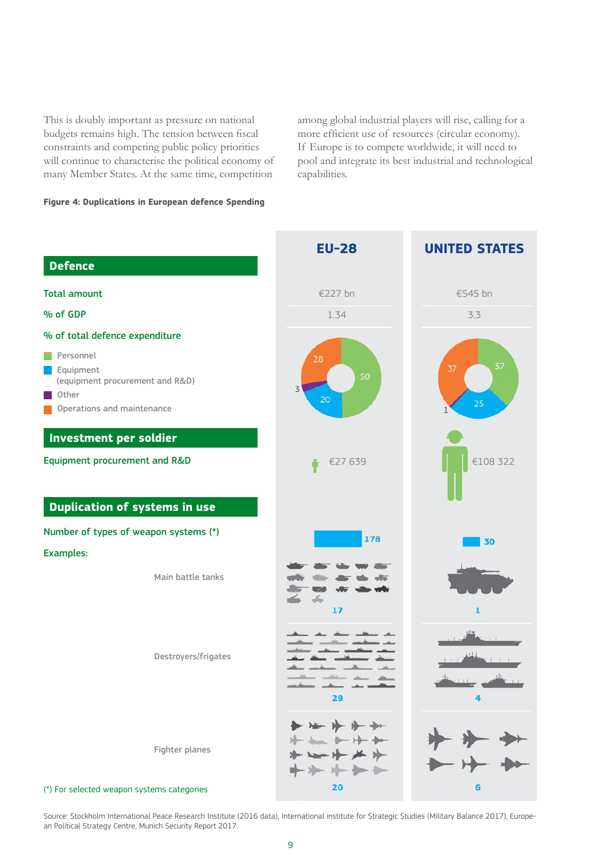This is doubly important as pressure on national budgets remains high. The tension between fiscal constraints and competing public policy priorities will continue to characterise the political economy of many Member States. At the same time, competition

among global industrial players will rise, calling for a more efficient use of resources (circular economy). If Europe is to compete worldwide, it will need to pool and integrate its best industrial and technological capabilities.

## **Figure 4: Duplications in European defence Spending**



Source: Stockholm International Peace Research Institute (2016 data), International institute for Strategic Studies (Military Balance 2017), European Political Strategy Centre, Munich Security Report 2017.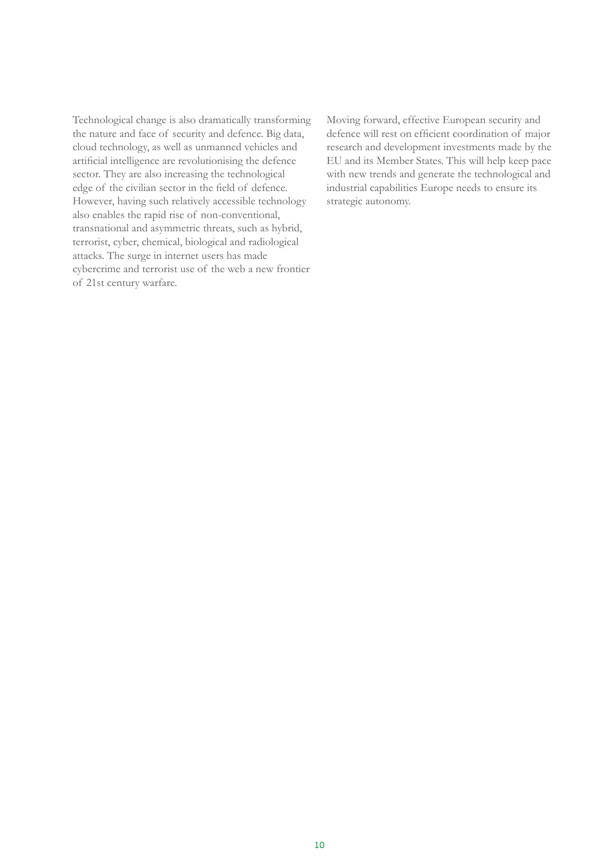Technological change is also dramatically transforming the nature and face of security and defence. Big data, cloud technology, as well as unmanned vehicles and artificial intelligence are revolutionising the defence sector. They are also increasing the technological edge of the civilian sector in the field of defence. However, having such relatively accessible technology also enables the rapid rise of non-conventional, transnational and asymmetric threats, such as hybrid, terrorist, cyber, chemical, biological and radiological attacks. The surge in internet users has made cybercrime and terrorist use of the web a new frontier of 21st century warfare.

Moving forward, effective European security and defence will rest on efficient coordination of major research and development investments made by the EU and its Member States. This will help keep pace with new trends and generate the technological and industrial capabilities Europe needs to ensure its strategic autonomy.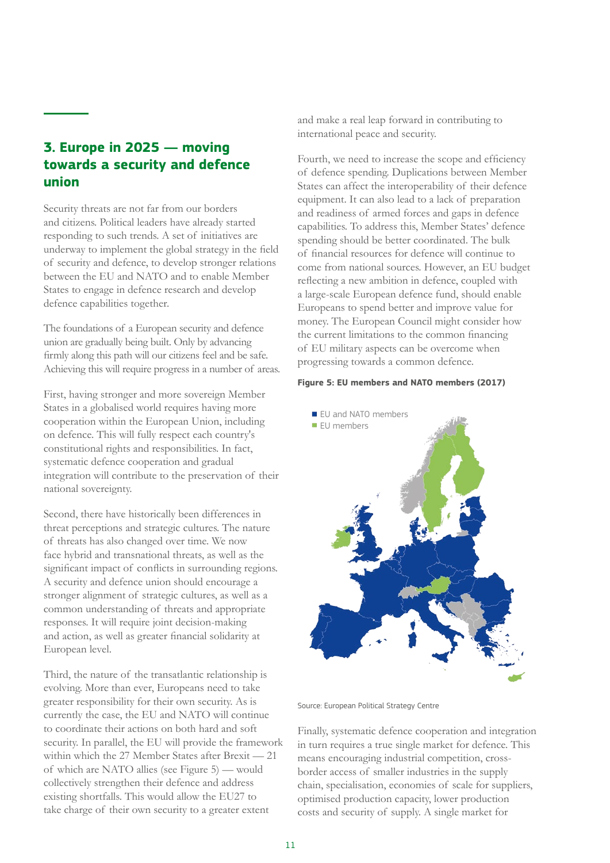# <span id="page-10-0"></span>**3. Europe in 2025 — moving towards a security and defence union**

Security threats are not far from our borders and citizens. Political leaders have already started responding to such trends. A set of initiatives are underway to implement the global strategy in the field of security and defence, to develop stronger relations between the EU and NATO and to enable Member States to engage in defence research and develop defence capabilities together.

The foundations of a European security and defence union are gradually being built. Only by advancing firmly along this path will our citizens feel and be safe. Achieving this will require progress in a number of areas.

First, having stronger and more sovereign Member States in a globalised world requires having more cooperation within the European Union, including on defence. This will fully respect each country's constitutional rights and responsibilities. In fact, systematic defence cooperation and gradual integration will contribute to the preservation of their national sovereignty.

Second, there have historically been differences in threat perceptions and strategic cultures. The nature of threats has also changed over time. We now face hybrid and transnational threats, as well as the significant impact of conflicts in surrounding regions. A security and defence union should encourage a stronger alignment of strategic cultures, as well as a common understanding of threats and appropriate responses. It will require joint decision-making and action, as well as greater financial solidarity at European level.

Third, the nature of the transatlantic relationship is evolving. More than ever, Europeans need to take greater responsibility for their own security. As is currently the case, the EU and NATO will continue to coordinate their actions on both hard and soft security. In parallel, the EU will provide the framework within which the 27 Member States after Brexit — 21 of which are NATO allies (see Figure 5) — would collectively strengthen their defence and address existing shortfalls. This would allow the EU27 to take charge of their own security to a greater extent

and make a real leap forward in contributing to international peace and security.

Fourth, we need to increase the scope and efficiency of defence spending. Duplications between Member States can affect the interoperability of their defence equipment. It can also lead to a lack of preparation and readiness of armed forces and gaps in defence capabilities. To address this, Member States' defence spending should be better coordinated. The bulk of financial resources for defence will continue to come from national sources. However, an EU budget reflecting a new ambition in defence, coupled with a large-scale European defence fund, should enable Europeans to spend better and improve value for money. The European Council might consider how the current limitations to the common financing of EU military aspects can be overcome when progressing towards a common defence.

#### **Figure 5: EU members and NATO members (2017)**



Source: European Political Strategy Centre

Finally, systematic defence cooperation and integration in turn requires a true single market for defence. This means encouraging industrial competition, crossborder access of smaller industries in the supply chain, specialisation, economies of scale for suppliers, optimised production capacity, lower production costs and security of supply. A single market for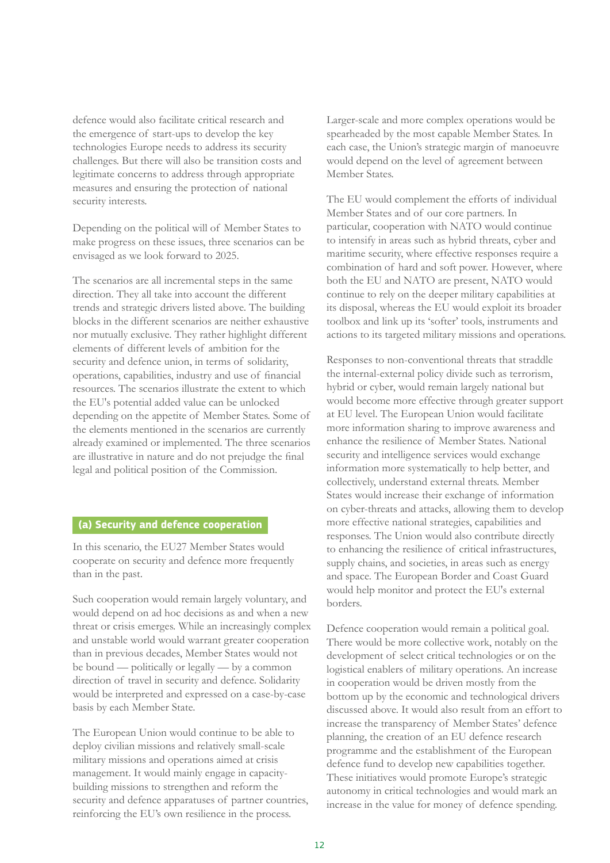defence would also facilitate critical research and the emergence of start-ups to develop the key technologies Europe needs to address its security challenges. But there will also be transition costs and legitimate concerns to address through appropriate measures and ensuring the protection of national security interests.

Depending on the political will of Member States to make progress on these issues, three scenarios can be envisaged as we look forward to 2025.

The scenarios are all incremental steps in the same direction. They all take into account the different trends and strategic drivers listed above. The building blocks in the different scenarios are neither exhaustive nor mutually exclusive. They rather highlight different elements of different levels of ambition for the security and defence union, in terms of solidarity, operations, capabilities, industry and use of financial resources. The scenarios illustrate the extent to which the EU's potential added value can be unlocked depending on the appetite of Member States. Some of the elements mentioned in the scenarios are currently already examined or implemented. The three scenarios are illustrative in nature and do not prejudge the final legal and political position of the Commission.

## **(a) Security and defence cooperation**

In this scenario, the EU27 Member States would cooperate on security and defence more frequently than in the past.

Such cooperation would remain largely voluntary, and would depend on ad hoc decisions as and when a new threat or crisis emerges. While an increasingly complex and unstable world would warrant greater cooperation than in previous decades, Member States would not be bound — politically or legally — by a common direction of travel in security and defence. Solidarity would be interpreted and expressed on a case-by-case basis by each Member State.

The European Union would continue to be able to deploy civilian missions and relatively small-scale military missions and operations aimed at crisis management. It would mainly engage in capacitybuilding missions to strengthen and reform the security and defence apparatuses of partner countries, reinforcing the EU's own resilience in the process.

Larger-scale and more complex operations would be spearheaded by the most capable Member States. In each case, the Union's strategic margin of manoeuvre would depend on the level of agreement between Member States.

The EU would complement the efforts of individual Member States and of our core partners. In particular, cooperation with NATO would continue to intensify in areas such as hybrid threats, cyber and maritime security, where effective responses require a combination of hard and soft power. However, where both the EU and NATO are present, NATO would continue to rely on the deeper military capabilities at its disposal, whereas the EU would exploit its broader toolbox and link up its 'softer' tools, instruments and actions to its targeted military missions and operations.

Responses to non-conventional threats that straddle the internal-external policy divide such as terrorism, hybrid or cyber, would remain largely national but would become more effective through greater support at EU level. The European Union would facilitate more information sharing to improve awareness and enhance the resilience of Member States. National security and intelligence services would exchange information more systematically to help better, and collectively, understand external threats. Member States would increase their exchange of information on cyber-threats and attacks, allowing them to develop more effective national strategies, capabilities and responses. The Union would also contribute directly to enhancing the resilience of critical infrastructures, supply chains, and societies, in areas such as energy and space. The European Border and Coast Guard would help monitor and protect the EU's external borders.

Defence cooperation would remain a political goal. There would be more collective work, notably on the development of select critical technologies or on the logistical enablers of military operations. An increase in cooperation would be driven mostly from the bottom up by the economic and technological drivers discussed above. It would also result from an effort to increase the transparency of Member States' defence planning, the creation of an EU defence research programme and the establishment of the European defence fund to develop new capabilities together. These initiatives would promote Europe's strategic autonomy in critical technologies and would mark an increase in the value for money of defence spending.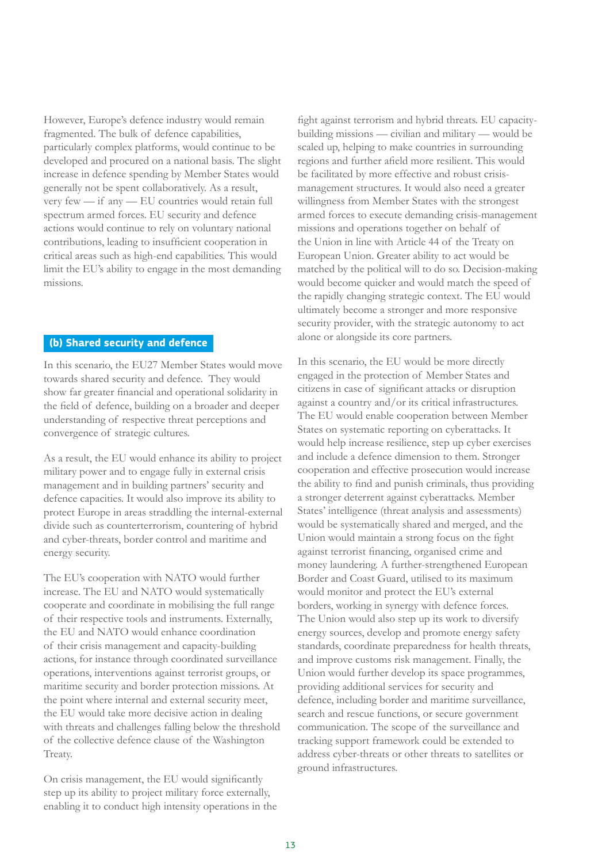However, Europe's defence industry would remain fragmented. The bulk of defence capabilities, particularly complex platforms, would continue to be developed and procured on a national basis. The slight increase in defence spending by Member States would generally not be spent collaboratively. As a result, very few — if any — EU countries would retain full spectrum armed forces. EU security and defence actions would continue to rely on voluntary national contributions, leading to insufficient cooperation in critical areas such as high-end capabilities. This would limit the EU's ability to engage in the most demanding missions.

## **(b) Shared security and defence**

In this scenario, the EU27 Member States would move towards shared security and defence. They would show far greater financial and operational solidarity in the field of defence, building on a broader and deeper understanding of respective threat perceptions and convergence of strategic cultures.

As a result, the EU would enhance its ability to project military power and to engage fully in external crisis management and in building partners' security and defence capacities. It would also improve its ability to protect Europe in areas straddling the internal-external divide such as counterterrorism, countering of hybrid and cyber-threats, border control and maritime and energy security.

The EU's cooperation with NATO would further increase. The EU and NATO would systematically cooperate and coordinate in mobilising the full range of their respective tools and instruments. Externally, the EU and NATO would enhance coordination of their crisis management and capacity-building actions, for instance through coordinated surveillance operations, interventions against terrorist groups, or maritime security and border protection missions. At the point where internal and external security meet, the EU would take more decisive action in dealing with threats and challenges falling below the threshold of the collective defence clause of the Washington Treaty.

On crisis management, the EU would significantly step up its ability to project military force externally, enabling it to conduct high intensity operations in the

fight against terrorism and hybrid threats. EU capacitybuilding missions — civilian and military — would be scaled up, helping to make countries in surrounding regions and further afield more resilient. This would be facilitated by more effective and robust crisismanagement structures. It would also need a greater willingness from Member States with the strongest armed forces to execute demanding crisis-management missions and operations together on behalf of the Union in line with Article 44 of the Treaty on European Union. Greater ability to act would be matched by the political will to do so. Decision-making would become quicker and would match the speed of the rapidly changing strategic context. The EU would ultimately become a stronger and more responsive security provider, with the strategic autonomy to act alone or alongside its core partners.

In this scenario, the EU would be more directly engaged in the protection of Member States and citizens in case of significant attacks or disruption against a country and/or its critical infrastructures. The EU would enable cooperation between Member States on systematic reporting on cyberattacks. It would help increase resilience, step up cyber exercises and include a defence dimension to them. Stronger cooperation and effective prosecution would increase the ability to find and punish criminals, thus providing a stronger deterrent against cyberattacks. Member States' intelligence (threat analysis and assessments) would be systematically shared and merged, and the Union would maintain a strong focus on the fight against terrorist financing, organised crime and money laundering. A further-strengthened European Border and Coast Guard, utilised to its maximum would monitor and protect the EU's external borders, working in synergy with defence forces. The Union would also step up its work to diversify energy sources, develop and promote energy safety standards, coordinate preparedness for health threats, and improve customs risk management. Finally, the Union would further develop its space programmes, providing additional services for security and defence, including border and maritime surveillance, search and rescue functions, or secure government communication. The scope of the surveillance and tracking support framework could be extended to address cyber-threats or other threats to satellites or ground infrastructures.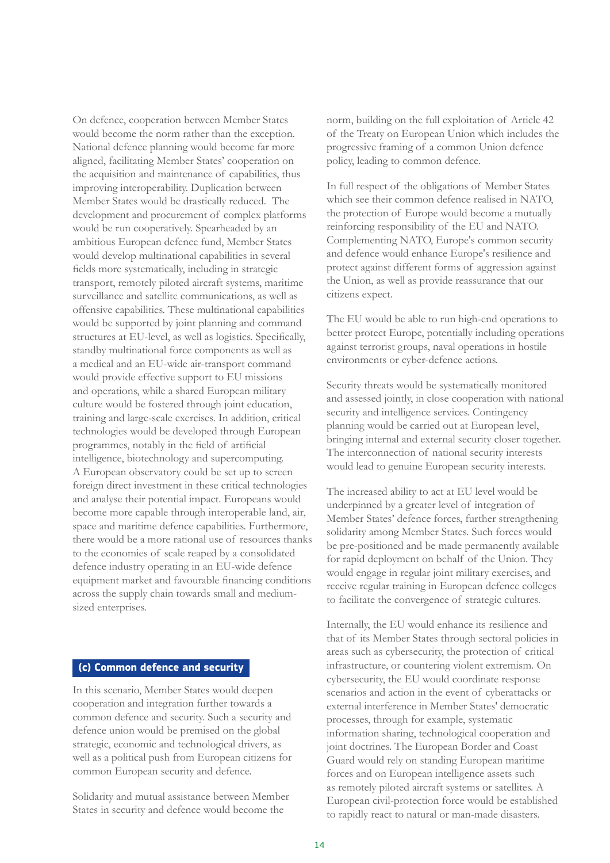On defence, cooperation between Member States would become the norm rather than the exception. National defence planning would become far more aligned, facilitating Member States' cooperation on the acquisition and maintenance of capabilities, thus improving interoperability. Duplication between Member States would be drastically reduced. The development and procurement of complex platforms would be run cooperatively. Spearheaded by an ambitious European defence fund, Member States would develop multinational capabilities in several fields more systematically, including in strategic transport, remotely piloted aircraft systems, maritime surveillance and satellite communications, as well as offensive capabilities. These multinational capabilities would be supported by joint planning and command structures at EU-level, as well as logistics. Specifically, standby multinational force components as well as a medical and an EU-wide air-transport command would provide effective support to EU missions and operations, while a shared European military culture would be fostered through joint education, training and large-scale exercises. In addition, critical technologies would be developed through European programmes, notably in the field of artificial intelligence, biotechnology and supercomputing. A European observatory could be set up to screen foreign direct investment in these critical technologies and analyse their potential impact. Europeans would become more capable through interoperable land, air, space and maritime defence capabilities. Furthermore, there would be a more rational use of resources thanks to the economies of scale reaped by a consolidated defence industry operating in an EU-wide defence equipment market and favourable financing conditions across the supply chain towards small and mediumsized enterprises.

## **(c) Common defence and security**

In this scenario, Member States would deepen cooperation and integration further towards a common defence and security. Such a security and defence union would be premised on the global strategic, economic and technological drivers, as well as a political push from European citizens for common European security and defence.

Solidarity and mutual assistance between Member States in security and defence would become the

norm, building on the full exploitation of Article 42 of the Treaty on European Union which includes the progressive framing of a common Union defence policy, leading to common defence.

In full respect of the obligations of Member States which see their common defence realised in NATO, the protection of Europe would become a mutually reinforcing responsibility of the EU and NATO. Complementing NATO, Europe's common security and defence would enhance Europe's resilience and protect against different forms of aggression against the Union, as well as provide reassurance that our citizens expect.

The EU would be able to run high-end operations to better protect Europe, potentially including operations against terrorist groups, naval operations in hostile environments or cyber-defence actions.

Security threats would be systematically monitored and assessed jointly, in close cooperation with national security and intelligence services. Contingency planning would be carried out at European level, bringing internal and external security closer together. The interconnection of national security interests would lead to genuine European security interests.

The increased ability to act at EU level would be underpinned by a greater level of integration of Member States' defence forces, further strengthening solidarity among Member States. Such forces would be pre-positioned and be made permanently available for rapid deployment on behalf of the Union. They would engage in regular joint military exercises, and receive regular training in European defence colleges to facilitate the convergence of strategic cultures.

Internally, the EU would enhance its resilience and that of its Member States through sectoral policies in areas such as cybersecurity, the protection of critical infrastructure, or countering violent extremism. On cybersecurity, the EU would coordinate response scenarios and action in the event of cyberattacks or external interference in Member States' democratic processes, through for example, systematic information sharing, technological cooperation and joint doctrines. The European Border and Coast Guard would rely on standing European maritime forces and on European intelligence assets such as remotely piloted aircraft systems or satellites. A European civil-protection force would be established to rapidly react to natural or man-made disasters.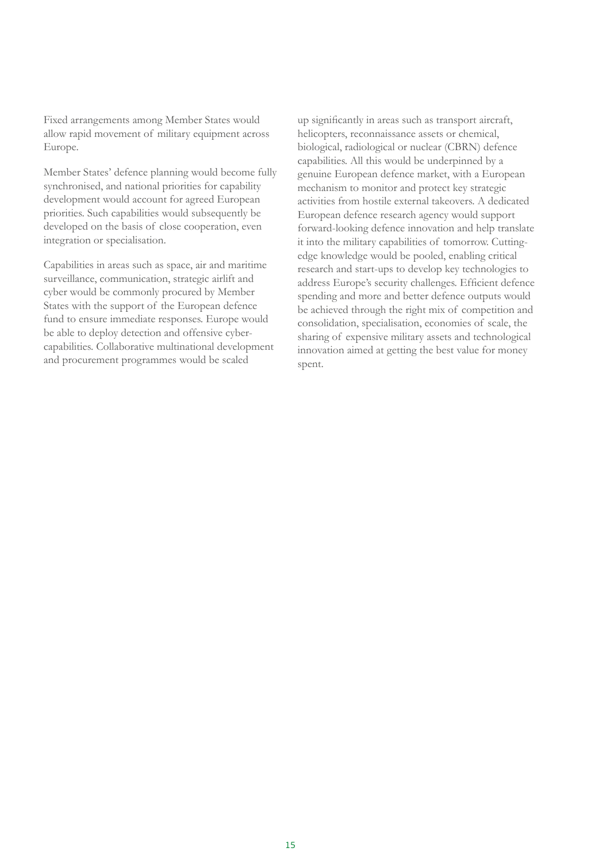Fixed arrangements among Member States would allow rapid movement of military equipment across Europe.

Member States' defence planning would become fully synchronised, and national priorities for capability development would account for agreed European priorities. Such capabilities would subsequently be developed on the basis of close cooperation, even integration or specialisation.

Capabilities in areas such as space, air and maritime surveillance, communication, strategic airlift and cyber would be commonly procured by Member States with the support of the European defence fund to ensure immediate responses. Europe would be able to deploy detection and offensive cybercapabilities. Collaborative multinational development and procurement programmes would be scaled

up significantly in areas such as transport aircraft, helicopters, reconnaissance assets or chemical, biological, radiological or nuclear (CBRN) defence capabilities. All this would be underpinned by a genuine European defence market, with a European mechanism to monitor and protect key strategic activities from hostile external takeovers. A dedicated European defence research agency would support forward-looking defence innovation and help translate it into the military capabilities of tomorrow. Cuttingedge knowledge would be pooled, enabling critical research and start-ups to develop key technologies to address Europe's security challenges. Efficient defence spending and more and better defence outputs would be achieved through the right mix of competition and consolidation, specialisation, economies of scale, the sharing of expensive military assets and technological innovation aimed at getting the best value for money spent.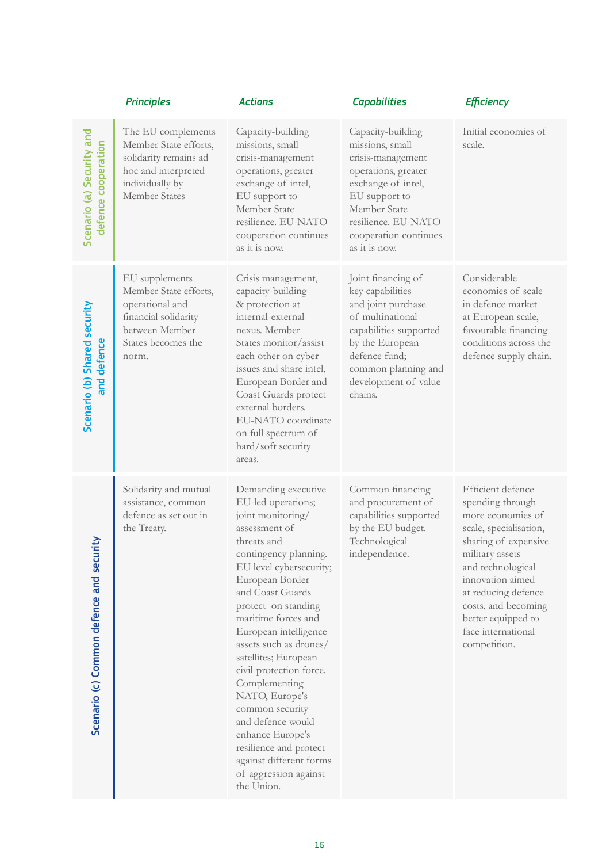|                                                  | <b>Principles</b>                                                                                                                   | <b>Actions</b>                                                                                                                                                                                                                                                                                                                                                                                                                                                                                                                           | <b>Capabilities</b>                                                                                                                                                                                      | <b>Efficiency</b>                                                                                                                                                                                                                                                                  |
|--------------------------------------------------|-------------------------------------------------------------------------------------------------------------------------------------|------------------------------------------------------------------------------------------------------------------------------------------------------------------------------------------------------------------------------------------------------------------------------------------------------------------------------------------------------------------------------------------------------------------------------------------------------------------------------------------------------------------------------------------|----------------------------------------------------------------------------------------------------------------------------------------------------------------------------------------------------------|------------------------------------------------------------------------------------------------------------------------------------------------------------------------------------------------------------------------------------------------------------------------------------|
| Scenario (a) Security and<br>defence cooperation | The EU complements<br>Member State efforts,<br>solidarity remains ad<br>hoc and interpreted<br>individually by<br>Member States     | Capacity-building<br>missions, small<br>crisis-management<br>operations, greater<br>exchange of intel,<br>EU support to<br>Member State<br>resilience. EU-NATO<br>cooperation continues<br>as it is now.                                                                                                                                                                                                                                                                                                                                 | Capacity-building<br>missions, small<br>crisis-management<br>operations, greater<br>exchange of intel,<br>EU support to<br>Member State<br>resilience. EU-NATO<br>cooperation continues<br>as it is now. | Initial economies of<br>scale.                                                                                                                                                                                                                                                     |
| Scenario (b) Shared security<br>and defence      | EU supplements<br>Member State efforts,<br>operational and<br>financial solidarity<br>between Member<br>States becomes the<br>norm. | Crisis management,<br>capacity-building<br>& protection at<br>internal-external<br>nexus. Member<br>States monitor/assist<br>each other on cyber<br>issues and share intel,<br>European Border and<br>Coast Guards protect<br>external borders.<br>EU-NATO coordinate<br>on full spectrum of<br>hard/soft security<br>areas.                                                                                                                                                                                                             | Joint financing of<br>key capabilities<br>and joint purchase<br>of multinational<br>capabilities supported<br>by the European<br>defence fund;<br>common planning and<br>development of value<br>chains. | Considerable<br>economies of scale<br>in defence market<br>at European scale,<br>favourable financing<br>conditions across the<br>defence supply chain.                                                                                                                            |
| rity<br>Scenario (c) Common defence and secu     | Solidarity and mutual<br>assistance, common<br>defence as set out in<br>the Treaty.                                                 | Demanding executive<br>EU-led operations;<br>joint monitoring/<br>assessment of<br>threats and<br>contingency planning.<br>EU level cybersecurity;<br>European Border<br>and Coast Guards<br>protect on standing<br>maritime forces and<br>European intelligence<br>assets such as drones/<br>satellites; European<br>civil-protection force.<br>Complementing<br>NATO, Europe's<br>common security<br>and defence would<br>enhance Europe's<br>resilience and protect<br>against different forms<br>of aggression against<br>the Union. | Common financing<br>and procurement of<br>capabilities supported<br>by the EU budget.<br>Technological<br>independence.                                                                                  | Efficient defence<br>spending through<br>more economies of<br>scale, specialisation,<br>sharing of expensive<br>military assets<br>and technological<br>innovation aimed<br>at reducing defence<br>costs, and becoming<br>better equipped to<br>face international<br>competition. |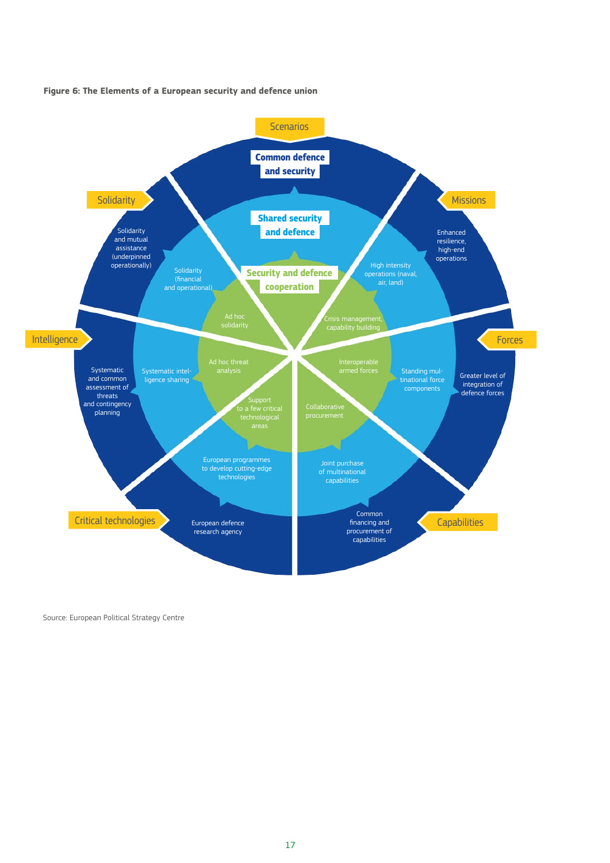



Source: European Political Strategy Centre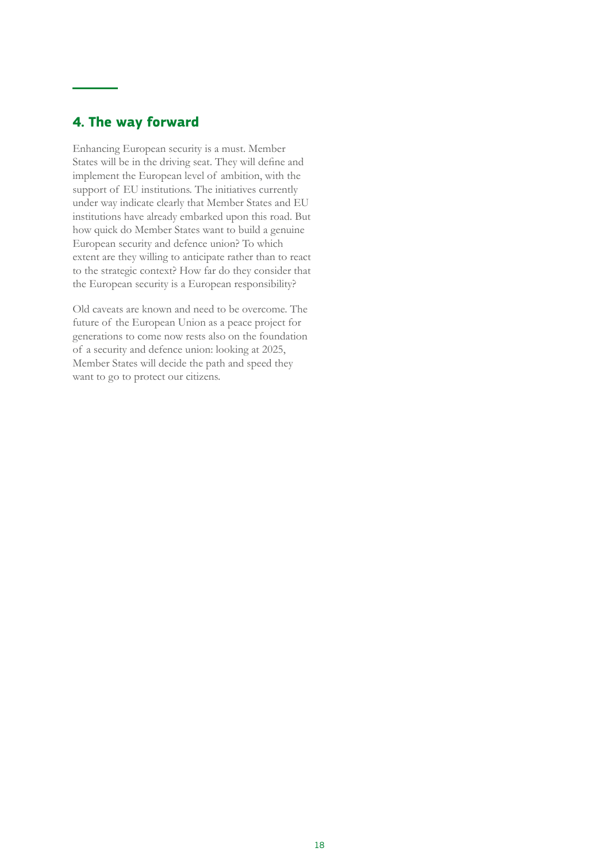# <span id="page-17-0"></span>**4. The way forward**

Enhancing European security is a must. Member States will be in the driving seat. They will define and implement the European level of ambition, with the support of EU institutions. The initiatives currently under way indicate clearly that Member States and EU institutions have already embarked upon this road. But how quick do Member States want to build a genuine European security and defence union? To which extent are they willing to anticipate rather than to react to the strategic context? How far do they consider that the European security is a European responsibility?

Old caveats are known and need to be overcome. The future of the European Union as a peace project for generations to come now rests also on the foundation of a security and defence union: looking at 2025, Member States will decide the path and speed they want to go to protect our citizens.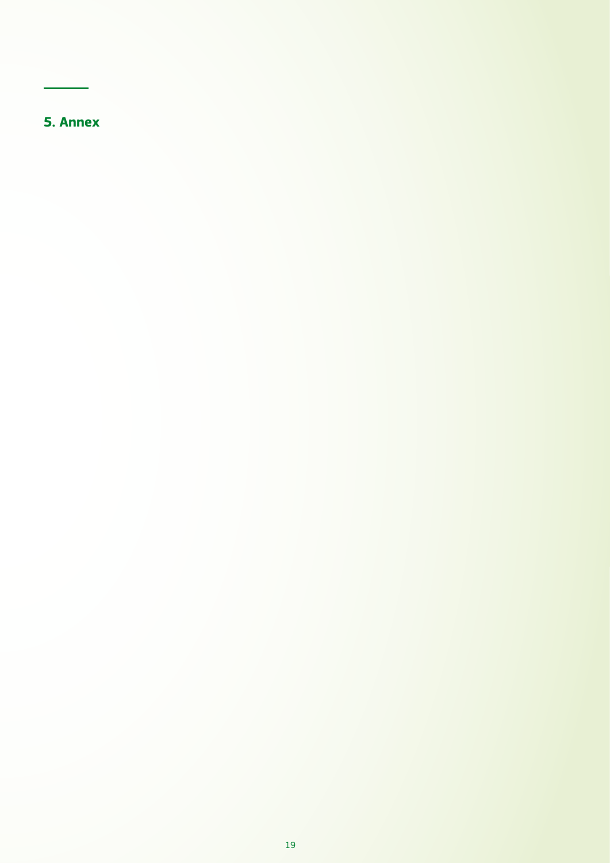<span id="page-18-0"></span>**5. Annex**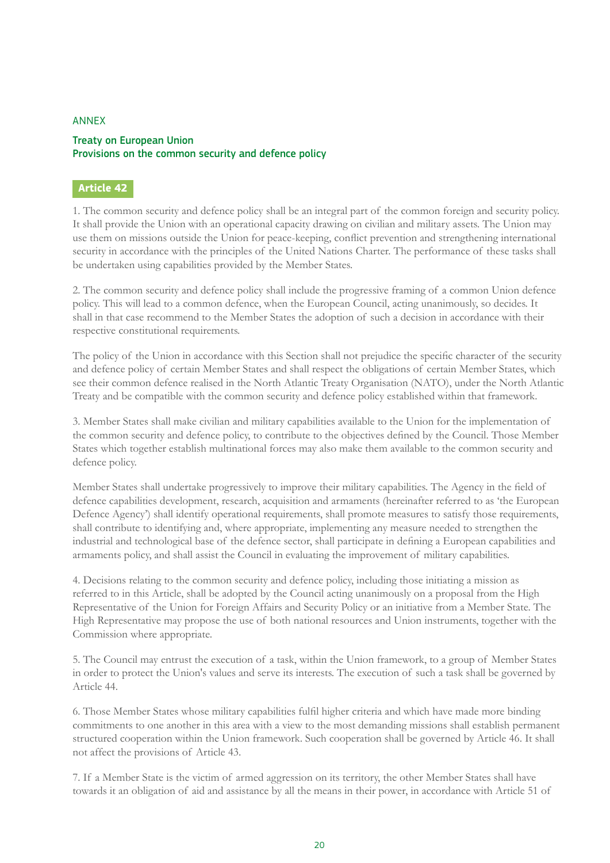## ANNEX

## Treaty on European Union Provisions on the common security and defence policy

## **Article 42**

1. The common security and defence policy shall be an integral part of the common foreign and security policy. It shall provide the Union with an operational capacity drawing on civilian and military assets. The Union may use them on missions outside the Union for peace-keeping, conflict prevention and strengthening international security in accordance with the principles of the United Nations Charter. The performance of these tasks shall be undertaken using capabilities provided by the Member States.

2. The common security and defence policy shall include the progressive framing of a common Union defence policy. This will lead to a common defence, when the European Council, acting unanimously, so decides. It shall in that case recommend to the Member States the adoption of such a decision in accordance with their respective constitutional requirements.

The policy of the Union in accordance with this Section shall not prejudice the specific character of the security and defence policy of certain Member States and shall respect the obligations of certain Member States, which see their common defence realised in the North Atlantic Treaty Organisation (NATO), under the North Atlantic Treaty and be compatible with the common security and defence policy established within that framework.

3. Member States shall make civilian and military capabilities available to the Union for the implementation of the common security and defence policy, to contribute to the objectives defined by the Council. Those Member States which together establish multinational forces may also make them available to the common security and defence policy.

Member States shall undertake progressively to improve their military capabilities. The Agency in the field of defence capabilities development, research, acquisition and armaments (hereinafter referred to as 'the European Defence Agency') shall identify operational requirements, shall promote measures to satisfy those requirements, shall contribute to identifying and, where appropriate, implementing any measure needed to strengthen the industrial and technological base of the defence sector, shall participate in defining a European capabilities and armaments policy, and shall assist the Council in evaluating the improvement of military capabilities.

4. Decisions relating to the common security and defence policy, including those initiating a mission as referred to in this Article, shall be adopted by the Council acting unanimously on a proposal from the High Representative of the Union for Foreign Affairs and Security Policy or an initiative from a Member State. The High Representative may propose the use of both national resources and Union instruments, together with the Commission where appropriate.

5. The Council may entrust the execution of a task, within the Union framework, to a group of Member States in order to protect the Union's values and serve its interests. The execution of such a task shall be governed by Article 44.

6. Those Member States whose military capabilities fulfil higher criteria and which have made more binding commitments to one another in this area with a view to the most demanding missions shall establish permanent structured cooperation within the Union framework. Such cooperation shall be governed by Article 46. It shall not affect the provisions of Article 43.

7. If a Member State is the victim of armed aggression on its territory, the other Member States shall have towards it an obligation of aid and assistance by all the means in their power, in accordance with Article 51 of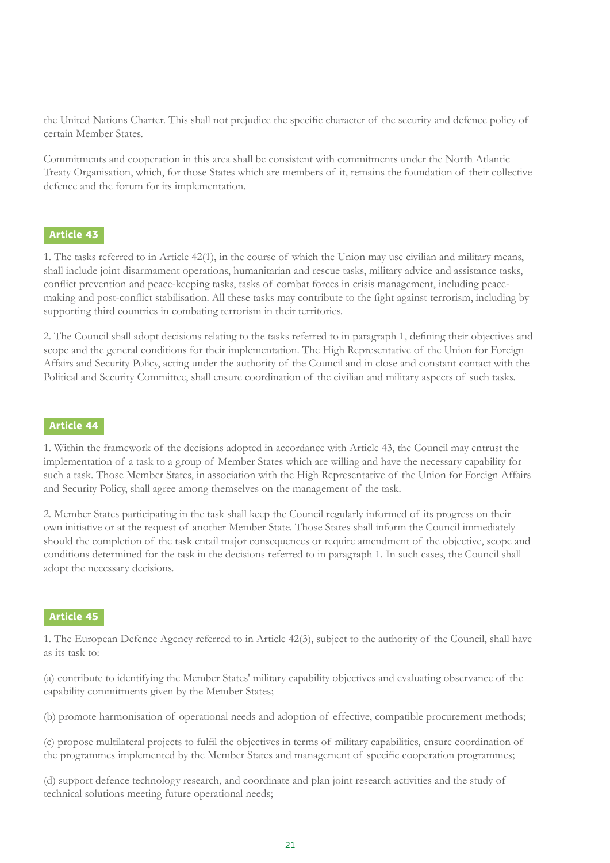the United Nations Charter. This shall not prejudice the specific character of the security and defence policy of certain Member States.

Commitments and cooperation in this area shall be consistent with commitments under the North Atlantic Treaty Organisation, which, for those States which are members of it, remains the foundation of their collective defence and the forum for its implementation.

## **Article 43**

1. The tasks referred to in Article 42(1), in the course of which the Union may use civilian and military means, shall include joint disarmament operations, humanitarian and rescue tasks, military advice and assistance tasks, conflict prevention and peace-keeping tasks, tasks of combat forces in crisis management, including peacemaking and post-conflict stabilisation. All these tasks may contribute to the fight against terrorism, including by supporting third countries in combating terrorism in their territories.

2. The Council shall adopt decisions relating to the tasks referred to in paragraph 1, defining their objectives and scope and the general conditions for their implementation. The High Representative of the Union for Foreign Affairs and Security Policy, acting under the authority of the Council and in close and constant contact with the Political and Security Committee, shall ensure coordination of the civilian and military aspects of such tasks.

## **Article 44**

1. Within the framework of the decisions adopted in accordance with Article 43, the Council may entrust the implementation of a task to a group of Member States which are willing and have the necessary capability for such a task. Those Member States, in association with the High Representative of the Union for Foreign Affairs and Security Policy, shall agree among themselves on the management of the task.

2. Member States participating in the task shall keep the Council regularly informed of its progress on their own initiative or at the request of another Member State. Those States shall inform the Council immediately should the completion of the task entail major consequences or require amendment of the objective, scope and conditions determined for the task in the decisions referred to in paragraph 1. In such cases, the Council shall adopt the necessary decisions.

## **Article 45**

1. The European Defence Agency referred to in Article 42(3), subject to the authority of the Council, shall have as its task to:

(a) contribute to identifying the Member States' military capability objectives and evaluating observance of the capability commitments given by the Member States;

(b) promote harmonisation of operational needs and adoption of effective, compatible procurement methods;

(c) propose multilateral projects to fulfil the objectives in terms of military capabilities, ensure coordination of the programmes implemented by the Member States and management of specific cooperation programmes;

(d) support defence technology research, and coordinate and plan joint research activities and the study of technical solutions meeting future operational needs;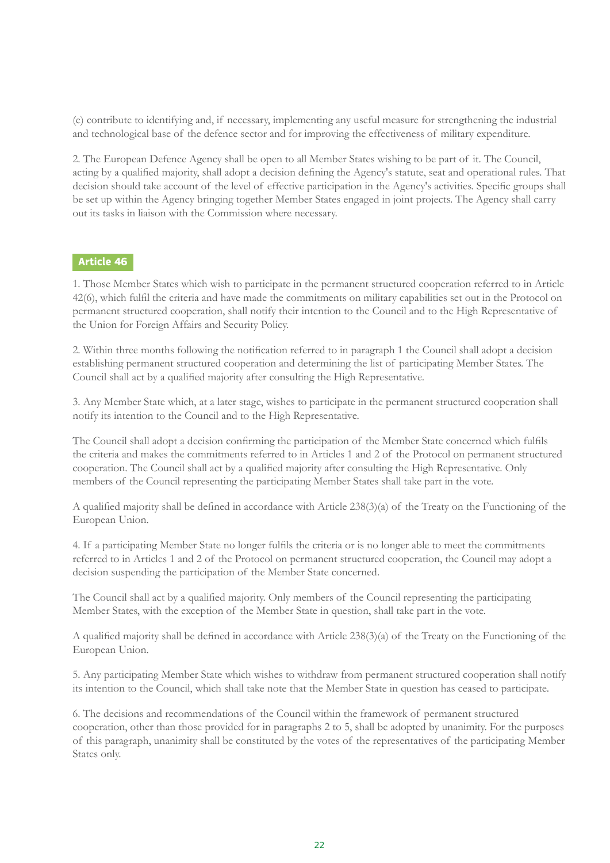(e) contribute to identifying and, if necessary, implementing any useful measure for strengthening the industrial and technological base of the defence sector and for improving the effectiveness of military expenditure.

2. The European Defence Agency shall be open to all Member States wishing to be part of it. The Council, acting by a qualified majority, shall adopt a decision defining the Agency's statute, seat and operational rules. That decision should take account of the level of effective participation in the Agency's activities. Specific groups shall be set up within the Agency bringing together Member States engaged in joint projects. The Agency shall carry out its tasks in liaison with the Commission where necessary.

## **Article 46**

1. Those Member States which wish to participate in the permanent structured cooperation referred to in Article 42(6), which fulfil the criteria and have made the commitments on military capabilities set out in the Protocol on permanent structured cooperation, shall notify their intention to the Council and to the High Representative of the Union for Foreign Affairs and Security Policy.

2. Within three months following the notification referred to in paragraph 1 the Council shall adopt a decision establishing permanent structured cooperation and determining the list of participating Member States. The Council shall act by a qualified majority after consulting the High Representative.

3. Any Member State which, at a later stage, wishes to participate in the permanent structured cooperation shall notify its intention to the Council and to the High Representative.

The Council shall adopt a decision confirming the participation of the Member State concerned which fulfils the criteria and makes the commitments referred to in Articles 1 and 2 of the Protocol on permanent structured cooperation. The Council shall act by a qualified majority after consulting the High Representative. Only members of the Council representing the participating Member States shall take part in the vote.

A qualified majority shall be defined in accordance with Article 238(3)(a) of the Treaty on the Functioning of the European Union.

4. If a participating Member State no longer fulfils the criteria or is no longer able to meet the commitments referred to in Articles 1 and 2 of the Protocol on permanent structured cooperation, the Council may adopt a decision suspending the participation of the Member State concerned.

The Council shall act by a qualified majority. Only members of the Council representing the participating Member States, with the exception of the Member State in question, shall take part in the vote.

A qualified majority shall be defined in accordance with Article 238(3)(a) of the Treaty on the Functioning of the European Union.

5. Any participating Member State which wishes to withdraw from permanent structured cooperation shall notify its intention to the Council, which shall take note that the Member State in question has ceased to participate.

6. The decisions and recommendations of the Council within the framework of permanent structured cooperation, other than those provided for in paragraphs 2 to 5, shall be adopted by unanimity. For the purposes of this paragraph, unanimity shall be constituted by the votes of the representatives of the participating Member States only.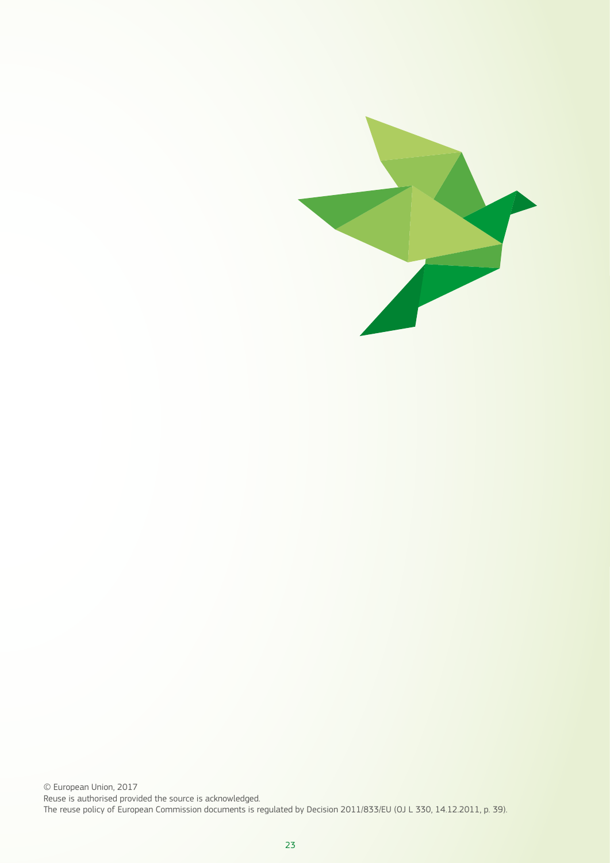